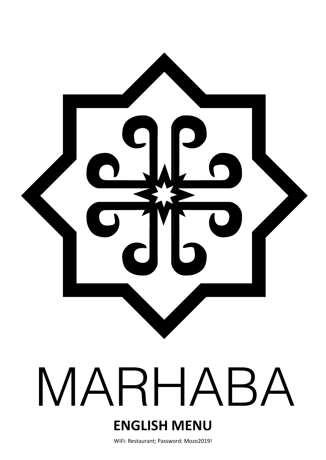

# MARHABA

# **ENGLISH MENU**

WiFi: Restaurant; Password: Mozo2019!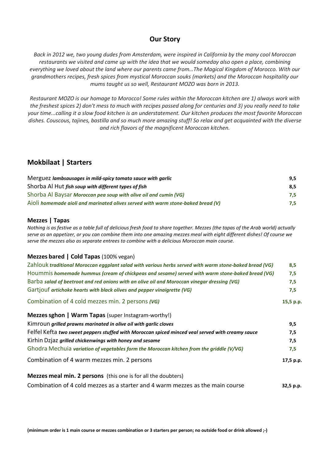## **Our Story**

*Back in 2012 we, two young dudes from Amsterdam, were inspired in California by the many cool Moroccan restaurants we visited and came up with the idea that we would someday also open a place, combining everything we loved about the land where our parents came from…The Magical Kingdom of Morocco. With our grandmothers recipes, fresh spices from mystical Moroccan souks (markets) and the Moroccan hospitality our mums taught us so well, Restaurant MOZO was born in 2013.* 

*Restaurant MOZO is our homage to Morocco! Some rules within the Moroccan kitchen are 1) always work with the freshest spices 2) don't mess to much with recipes passed along for centuries and 3) you really need to take your time...calling it a slow food kitchen is an understatement. Our kitchen produces the most favorite Moroccan dishes. Couscous, tajines, bastilla and so much more amazing stuff! So relax and get acquainted with the diverse and rich flavors of the magnificent Moroccan kitchen.*

# **Mokbilaat | Starters**

| Merguez lambsausages in mild-spicy tomato sauce with garlic                             |     |
|-----------------------------------------------------------------------------------------|-----|
| Shorba Al Hut fish soup with different types of fish                                    | 8.5 |
| Shorba Al Baysar Moroccan pea soup with olive oil and cumin (VG)                        | 7.5 |
| $A$ i $O$ li homemade aioli and marinated olives served with warm stone-baked bread (V) | 7.5 |

#### **Mezzes | Tapas**

*Nothing is as festive as a table full of delicious fresh food to share together. Mezzes (the tapas of the Arab world) actually serve as an appetizer, or you can combine them into one amazing mezzes meal with eight different dishes! Of course we serve the mezzes also as separate entrees to combine with a delicious Moroccan main course.*

#### **Mezzes bared | Cold Tapas** (100% vegan)

| Zahlouk traditional Moroccan eggplant salad with various herbs served with warm stone-baked bread (VG) |           |  |  |
|--------------------------------------------------------------------------------------------------------|-----------|--|--|
| Hoummis homemade hummus (cream of chickpeas and sesame) served with warm stone-baked bread (VG)        | 7,5       |  |  |
| Barba salad of beetroot and red onions with an olive oil and Moroccan vinegar dressing (VG)            | 7,5       |  |  |
| Gartjouf artichoke hearts with black olives and pepper vinaigrette (VG)                                | 7,5       |  |  |
| Combination of 4 cold mezzes min. 2 persons (VG)                                                       | 15,5 p.p. |  |  |
| Mezzes sghon   Warm Tapas (super Instagram-worthy!)                                                    |           |  |  |
| Kimroun grilled prawns marinated in olive oil with garlic cloves                                       | 9,5       |  |  |
| Felfel Kefta two sweet peppers stuffed with Moroccan spiced minced veal served with creamy sauce       | 7,5       |  |  |
| Kirhin Dzjaz grilled chickenwings with honey and sesame                                                | 7,5       |  |  |
| Ghodra Mechuia variation of vegetables form the Moroccan kitchen from the griddle (V/VG)               | 7,5       |  |  |
| Combination of 4 warm mezzes min. 2 persons                                                            | 17,5 p.p. |  |  |
| <b>Mezzes meal min. 2 persons</b> (this one is for all the doubters)                                   |           |  |  |
| Combination of 4 cold mezzes as a starter and 4 warm mezzes as the main course                         | 32,5 p.p. |  |  |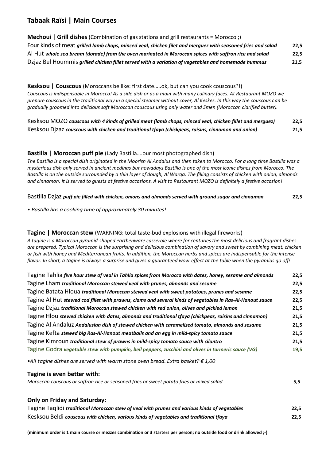# **Tabaak Raïsi | Main Courses**

# **Mechoui | Grill dishes** (Combination of gas stations and grill restaurants = Morocco ;) Four kinds of meat *grilled lamb chops, minced veal, chicken filet and merguez with seasoned fries and salad* **22,5** Al Hut *whole sea bream (dorade) from the oven marinated in Moroccan spices with saffron rice and salad* **22,5** Dzjaz Bel Hoummis *grilled chicken fillet served with a variation of vegetables and homemade hummus* **21,5**

# **Kesksou | Couscous** (Moroccans be like: first date…..ok, but can you cook couscous?!)

*Couscous is indispensable in Morocco! As a side dish or as a main with many culinary faces. At Restaurant MOZO we prepare couscous in the traditional way in a special steamer without cover, Al Keskes. In this way the couscous can be gradually groomed into delicious soft Moroccan couscous using only water and Smen (Moroccan clarified butter).* 

| Kesksou MOZO couscous with 4 kinds of grilled meat (lamb chops, minced veal, chicken fillet and merguez) | 22,5 |
|----------------------------------------------------------------------------------------------------------|------|
| Kesksou Dizaz couscous with chicken and traditional tfaya (chickpeas, raisins, cinnamon and onion)       | 21,5 |

# **Bastilla | Moroccan puff pie** (Lady Bastilla….our most photographed dish)

*The Bastilla is a special dish originated in the Moorish Al Andalus and then taken to Morocco. For a long time Bastilla was a mysterious dish only served in ancient medinas but nowadays Bastilla is one of the most iconic dishes from Morocco. The Bastilla is on the outside surrounded by a thin layer of dough, Al Warqa. The filling consists of chicken with onion, almonds and cinnamon. It is served to guests at festive occasions. A visit to Restaurant MOZO is definitely a festive occasion!* 

Bastilla Dzjaz *puff pie filled with chicken, onions and almonds served with ground sugar and cinnamon* **22,5**

*• Bastilla has a cooking time of approximately 30 minutes!*

# **Tagine | Moroccan stew** (WARNING: total taste-bud explosions with illegal fireworks)

*A tagine is a Moroccan pyramid-shaped earthenware casserole where for centuries the most delicious and fragrant dishes are prepared. Typical Moroccan is the surprising and delicious combination of savory and sweet by combining meat, chicken or fish with honey and Mediterranean fruits. In addition, the Moroccan herbs and spices are indispensable for the intense flavor. In short, a tagine is always a surprise and gives a guaranteed wow-effect at the table when the pyramids go off!* 

| Tagine Tahlia five hour stew of veal in Tahlia spices from Morocco with dates, honey, sesame and almonds  | 22,5 |
|-----------------------------------------------------------------------------------------------------------|------|
| Tagine Lham traditional Moroccan stewed veal with prunes, almonds and sesame                              | 22,5 |
| Tagine Batata Hloua traditional Moroccan stewed veal with sweet potatoes, prunes and sesame               | 22,5 |
| Tagine Al Hut stewed cod fillet with prawns, clams and several kinds of vegetables in Ras-Al-Hanout sauce | 22,5 |
| Tagine Dzjaz traditional Moroccan stewed chicken with red onion, olives and pickled lemon                 | 21,5 |
| Tagine Hlou stewed chicken with dates, almonds and traditional tfaya (chickpeas, raisins and cinnamon)    | 21,5 |
| Tagine Al Andaluz Andalusian dish of stewed chicken with caramelized tomato, almonds and sesame           | 21,5 |
| Tagine Kefta stewed big Ras-Al-Hanout meatballs and an egg in mild-spicy tomato sauce                     | 21,5 |
| Tagine Kimroun traditional stew of prawns in mild-spicy tomato sauce with cilantro                        | 21,5 |
| Tagine Godra vegetable stew with pumpkin, bell peppers, zucchini and olives in turmeric sauce (VG)        | 19,5 |

*•All tagine dishes are served with warm stone oven bread. Extra basket? € 1,00*

# **Tagine is even better with:**

| Moroccan couscous or saffron rice or seasoned fries or sweet potato fries or mixed salad |  |
|------------------------------------------------------------------------------------------|--|
|------------------------------------------------------------------------------------------|--|

# **Only on Friday and Saturday:**

| Tagine Taglidi traditional Moroccan stew of veal with prunes and various kinds of vegetables | 22,5 |
|----------------------------------------------------------------------------------------------|------|
| Kesksou Beldi couscous with chicken, various kinds of vegetables and traditional tfaya       | 22,5 |

**(minimum order is 1 main course or mezzes combination or 3 starters per person; no outside food or drink allowed ;-)**